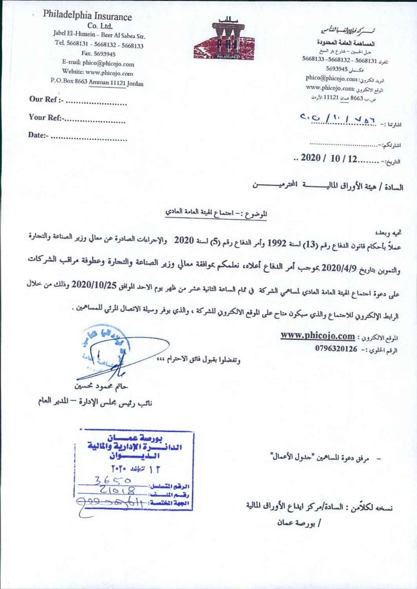تستسركته فبالمطالب باللتكسن

المساهمة العامة المحدودة حبل الحسين – شارع بثر السبع تلفون 5668131 - 5668132 - 5668131 نكسملي 5693945 Phico@phicojo.com :الحتروني الموقع الالكتروني :www.phicojo.com ص.ب 8663 عمان 11121 الأردن

## C, C  $(1, 1, 1, 1)$

 $... 2020 / 10 / 12$ ........-:

السادة / هيئة الأوراق الماليـــــــــــة المحترميـــــــــــن

الموضوع :- احتماع الهيئة العامة العادي

تحيه وبعد، عملاً بأحكام قانون الدفاع رقم (13) لسنة 1992 وأمر الدفاع رقم (5) لسنة 2020٪ والإحراءات الصادرة عن معالي وزير الصناعة والتحارة والتموين بتاريخ 2020/4/9 بموجب أمر الدفاع أعلاه، نعلمكم بموافقة معالي وزير الصناعة والتحارة وعطوفة مراقب الشركات على دعوة احتماع الهيئة العامة العادي لمساهمي الشركة في تمام الساعة الثانية عشر من ظهر يوم الاحد الموافق 2020/10/25 وذلك من خلال الرابط الإلكترويي للاحتماع والذي سيكون متاح على الموقع الالكترويي للشركة ، والذي يوفر وسيلة الاتصال المرثي للمساهمين .

> للوقع الالكترون : www.phicojo.com الرقم الخلوي :- 0796320126

وتفضلوا بقبول فائق الاحترام ،،، حاتم محمود نحسين

نائب رئيس بحلس الإدارة — المدير العام

مرفق دعوة للساهمين "حدول الأعمال"

نسخه لكلأمن : السادة/مركز ايداع الأوراق المالية / بورصة عمان

بورصة عم سان اللياذ  $T - T - 3662 + T$  $3650$ الرقع التسلسل:- $Z1018$ م المست  $5.16/20$ 



Jabel El-Hussein - Beer Al Sabea Str. Tel. 5668131 - 5668132 - 5668133 Fax. 5693945 E-mail: phico@phicojo.com Website: www.phicojo.com P.O.Box 8663 Amman 11121 Jordan 

Philadelphia Insurance

Co. Ltd.